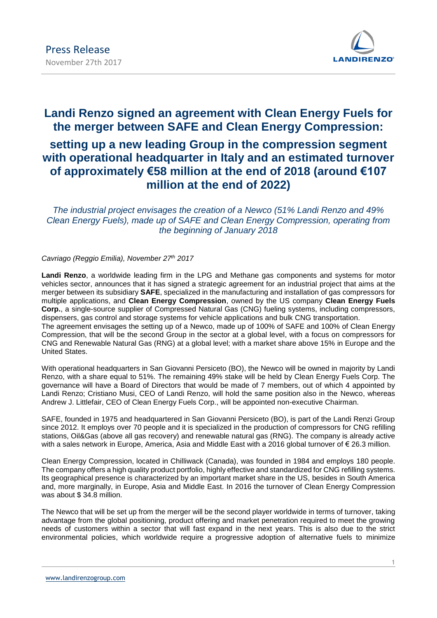

# **Landi Renzo signed an agreement with Clean Energy Fuels for the merger between SAFE and Clean Energy Compression: setting up a new leading Group in the compression segment with operational headquarter in Italy and an estimated turnover of approximately €58 million at the end of 2018 (around €107 million at the end of 2022)**

*The industrial project envisages the creation of a Newco (51% Landi Renzo and 49% Clean Energy Fuels), made up of SAFE and Clean Energy Compression, operating from the beginning of January 2018*

## *Cavriago (Reggio Emilia), November 27 th 2017*

**Landi Renzo**, a worldwide leading firm in the LPG and Methane gas components and systems for motor vehicles sector, announces that it has signed a strategic agreement for an industrial project that aims at the merger between its subsidiary **SAFE**, specialized in the manufacturing and installation of gas compressors for multiple applications, and **Clean Energy Compression**, owned by the US company **Clean Energy Fuels Corp.**, a single-source supplier of Compressed Natural Gas (CNG) fueling systems, including compressors, dispensers, gas control and storage systems for vehicle applications and bulk CNG transportation. The agreement envisages the setting up of a Newco, made up of 100% of SAFE and 100% of Clean Energy

Compression, that will be the second Group in the sector at a global level, with a focus on compressors for CNG and Renewable Natural Gas (RNG) at a global level; with a market share above 15% in Europe and the United States.

With operational headquarters in San Giovanni Persiceto (BO), the Newco will be owned in majority by Landi Renzo, with a share equal to 51%. The remaining 49% stake will be held by Clean Energy Fuels Corp. The governance will have a Board of Directors that would be made of 7 members, out of which 4 appointed by Landi Renzo; Cristiano Musi, CEO of Landi Renzo, will hold the same position also in the Newco, whereas Andrew J. Littlefair, CEO of Clean Energy Fuels Corp., will be appointed non-executive Chairman.

SAFE, founded in 1975 and headquartered in San Giovanni Persiceto (BO), is part of the Landi Renzi Group since 2012. It employs over 70 people and it is specialized in the production of compressors for CNG refilling stations, Oil&Gas (above all gas recovery) and renewable natural gas (RNG). The company is already active with a sales network in Europe, America, Asia and Middle East with a 2016 global turnover of € 26.3 million.

Clean Energy Compression, located in Chilliwack (Canada), was founded in 1984 and employs 180 people. The company offers a high quality product portfolio, highly effective and standardized for CNG refilling systems. Its geographical presence is characterized by an important market share in the US, besides in South America and, more marginally, in Europe, Asia and Middle East. In 2016 the turnover of Clean Energy Compression was about \$ 34.8 million.

The Newco that will be set up from the merger will be the second player worldwide in terms of turnover, taking advantage from the global positioning, product offering and market penetration required to meet the growing needs of customers within a sector that will fast expand in the next years. This is also due to the strict environmental policies, which worldwide require a progressive adoption of alternative fuels to minimize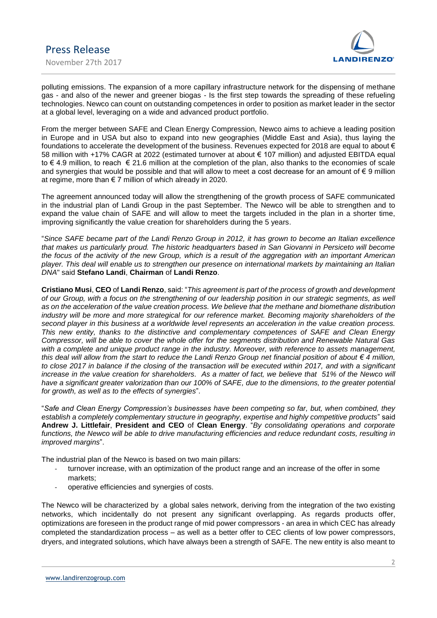

polluting emissions. The expansion of a more capillary infrastructure network for the dispensing of methane gas - and also of the newer and greener biogas - Is the first step towards the spreading of these refueling technologies. Newco can count on outstanding competences in order to position as market leader in the sector at a global level, leveraging on a wide and advanced product portfolio.

From the merger between SAFE and Clean Energy Compression, Newco aims to achieve a leading position in Europe and in USA but also to expand into new geographies (Middle East and Asia), thus laying the foundations to accelerate the development of the business. Revenues expected for 2018 are equal to about € 58 million with +17% CAGR at 2022 (estimated turnover at about € 107 million) and adjusted EBITDA equal to € 4.9 million, to reach € 21.6 million at the completion of the plan, also thanks to the economies of scale and synergies that would be possible and that will allow to meet a cost decrease for an amount of  $\epsilon$  9 million at regime, more than € 7 million of which already in 2020.

The agreement announced today will allow the strengthening of the growth process of SAFE communicated in the industrial plan of Landi Group in the past September. The Newco will be able to strengthen and to expand the value chain of SAFE and will allow to meet the targets included in the plan in a shorter time, improving significantly the value creation for shareholders during the 5 years.

"*Since SAFE became part of the Landi Renzo Group in 2012, it has grown to become an Italian excellence that makes us particularly proud. The historic headquarters based in San Giovanni in Persiceto will become the focus of the activity of the new Group, which is a result of the aggregation with an important American player. This deal will enable us to strengthen our presence on international markets by maintaining an Italian DNA*" said **Stefano Landi**, **Chairman** of **Landi Renzo**.

**Cristiano Musi**, **CEO** of **Landi Renzo**, said: "*This agreement is part of the process of growth and development of our Group, with a focus on the strengthening of our leadership position in our strategic segments, as well as on the acceleration of the value creation process. We believe that the methane and biomethane distribution industry will be more and more strategical for our reference market. Becoming majority shareholders of the second player in this business at a worldwide level represents an acceleration in the value creation process. This new entity, thanks to the distinctive and complementary competences of SAFE and Clean Energy Compressor, will be able to cover the whole offer for the segments distribution and Renewable Natural Gas with a complete and unique product range in the industry. Moreover, with reference to assets management, this deal will allow from the start to reduce the Landi Renzo Group net financial position of about € 4 million, to close 2017 in balance if the closing of the transaction will be executed within 2017, and with a significant increase in the value creation for shareholders. As a matter of fact, we believe that 51% of the Newco will have a significant greater valorization than our 100% of SAFE, due to the dimensions, to the greater potential for growth, as well as to the effects of synergies*".

"*Safe and Clean Energy Compression's businesses have been competing so far, but, when combined, they establish a completely complementary structure in geography, expertise and highly competitive products*" said **Andrew J. Littlefair**, **President and CEO** of **Clean Energy**. "*By consolidating operations and corporate functions, the Newco will be able to drive manufacturing efficiencies and reduce redundant costs, resulting in improved margins*".

The industrial plan of the Newco is based on two main pillars:

- turnover increase, with an optimization of the product range and an increase of the offer in some markets;
- operative efficiencies and synergies of costs.

The Newco will be characterized by a global sales network, deriving from the integration of the two existing networks, which incidentally do not present any significant overlapping. As regards products offer, optimizations are foreseen in the product range of mid power compressors - an area in which CEC has already completed the standardization process – as well as a better offer to CEC clients of low power compressors, dryers, and integrated solutions, which have always been a strength of SAFE. The new entity is also meant to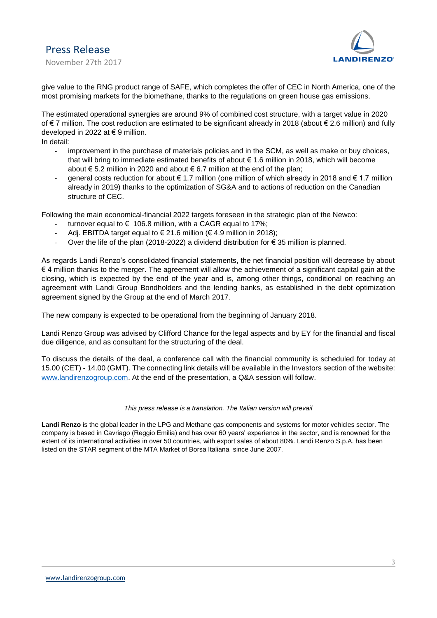

give value to the RNG product range of SAFE, which completes the offer of CEC in North America, one of the most promising markets for the biomethane, thanks to the regulations on green house gas emissions.

The estimated operational synergies are around 9% of combined cost structure, with a target value in 2020 of € 7 million. The cost reduction are estimated to be significant already in 2018 (about € 2.6 million) and fully developed in 2022 at € 9 million.

In detail:

- improvement in the purchase of materials policies and in the SCM, as well as make or buy choices, that will bring to immediate estimated benefits of about € 1.6 million in 2018, which will become about € 5.2 million in 2020 and about € 6.7 million at the end of the plan;
- general costs reduction for about € 1.7 million (one million of which already in 2018 and € 1.7 million already in 2019) thanks to the optimization of SG&A and to actions of reduction on the Canadian structure of CEC.

Following the main economical-financial 2022 targets foreseen in the strategic plan of the Newco:

- turnover equal to  $\epsilon$  106.8 million, with a CAGR equal to 17%;
- Adj. EBITDA target equal to  $\in$  21.6 million ( $\in$  4.9 million in 2018);
- Over the life of the plan (2018-2022) a dividend distribution for  $\epsilon$  35 million is planned.

As regards Landi Renzo's consolidated financial statements, the net financial position will decrease by about € 4 million thanks to the merger. The agreement will allow the achievement of a significant capital gain at the closing, which is expected by the end of the year and is, among other things, conditional on reaching an agreement with Landi Group Bondholders and the lending banks, as established in the debt optimization agreement signed by the Group at the end of March 2017.

The new company is expected to be operational from the beginning of January 2018.

Landi Renzo Group was advised by Clifford Chance for the legal aspects and by EY for the financial and fiscal due diligence, and as consultant for the structuring of the deal.

To discuss the details of the deal, a conference call with the financial community is scheduled for today at 15.00 (CET) - 14.00 (GMT). The connecting link details will be available in the Investors section of the website: [www.landirenzogroup.com.](http://www.landirenzogroup.com/) At the end of the presentation, a Q&A session will follow.

### *This press release is a translation. The Italian version will prevail*

**Landi Renzo** is the global leader in the LPG and Methane gas components and systems for motor vehicles sector. The company is based in Cavriago (Reggio Emilia) and has over 60 years' experience in the sector, and is renowned for the extent of its international activities in over 50 countries, with export sales of about 80%. Landi Renzo S.p.A. has been listed on the STAR segment of the MTA Market of Borsa Italiana since June 2007.